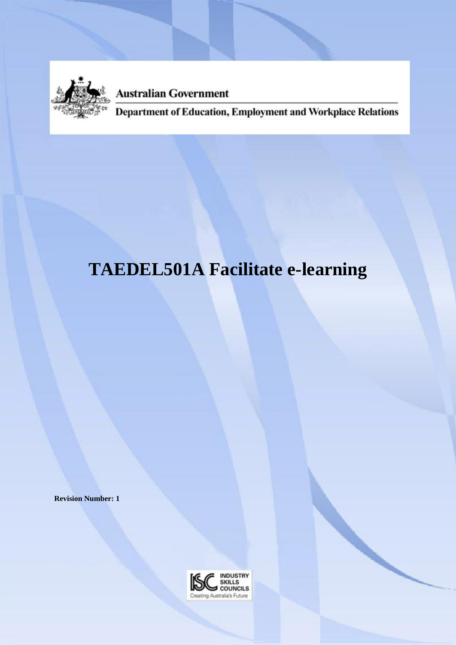

**Australian Government** 

Department of Education, Employment and Workplace Relations

# **TAEDEL501A Facilitate e-learning**

**Revision Number: 1**

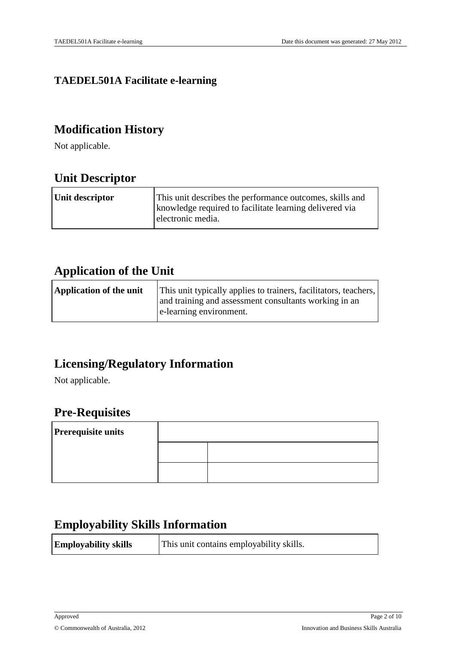### **TAEDEL501A Facilitate e-learning**

### **Modification History**

Not applicable.

### **Unit Descriptor**

| Unit descriptor | This unit describes the performance outcomes, skills and |
|-----------------|----------------------------------------------------------|
|                 | knowledge required to facilitate learning delivered via  |
|                 | electronic media.                                        |
|                 |                                                          |

### **Application of the Unit**

| <b>Application of the unit</b> | This unit typically applies to trainers, facilitators, teachers, |
|--------------------------------|------------------------------------------------------------------|
|                                | and training and assessment consultants working in an            |
|                                | e-learning environment.                                          |
|                                |                                                                  |

### **Licensing/Regulatory Information**

Not applicable.

### **Pre-Requisites**

| <b>Prerequisite units</b> |  |  |
|---------------------------|--|--|
|                           |  |  |
|                           |  |  |

### **Employability Skills Information**

| <b>Employability skills</b><br>This unit contains employability skills. |
|-------------------------------------------------------------------------|
|-------------------------------------------------------------------------|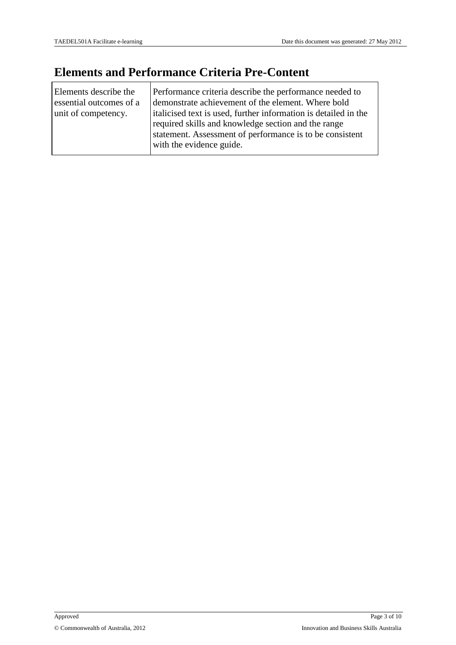r

### **Elements and Performance Criteria Pre-Content**

| Elements describe the<br>essential outcomes of a<br>unit of competency. | Performance criteria describe the performance needed to<br>demonstrate achievement of the element. Where bold<br>italicised text is used, further information is detailed in the<br>required skills and knowledge section and the range<br>statement. Assessment of performance is to be consistent<br>with the evidence guide. |
|-------------------------------------------------------------------------|---------------------------------------------------------------------------------------------------------------------------------------------------------------------------------------------------------------------------------------------------------------------------------------------------------------------------------|
|-------------------------------------------------------------------------|---------------------------------------------------------------------------------------------------------------------------------------------------------------------------------------------------------------------------------------------------------------------------------------------------------------------------------|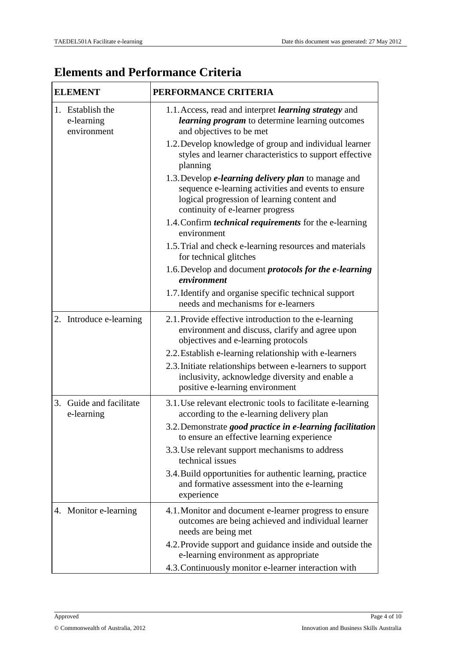## **Elements and Performance Criteria**

| <b>ELEMENT</b>                                | PERFORMANCE CRITERIA                                                                                                                                                                                      |
|-----------------------------------------------|-----------------------------------------------------------------------------------------------------------------------------------------------------------------------------------------------------------|
| 1. Establish the<br>e-learning<br>environment | 1.1. Access, read and interpret <i>learning strategy</i> and<br><i>learning program</i> to determine learning outcomes<br>and objectives to be met                                                        |
|                                               | 1.2. Develop knowledge of group and individual learner<br>styles and learner characteristics to support effective<br>planning                                                                             |
|                                               | 1.3. Develop <i>e-learning delivery plan</i> to manage and<br>sequence e-learning activities and events to ensure<br>logical progression of learning content and<br>continuity of e-learner progress      |
|                                               | 1.4. Confirm <i>technical requirements</i> for the e-learning<br>environment                                                                                                                              |
|                                               | 1.5. Trial and check e-learning resources and materials<br>for technical glitches                                                                                                                         |
|                                               | 1.6. Develop and document <i>protocols for the e-learning</i><br>environment                                                                                                                              |
|                                               | 1.7. Identify and organise specific technical support<br>needs and mechanisms for e-learners                                                                                                              |
| 2. Introduce e-learning                       | 2.1. Provide effective introduction to the e-learning<br>environment and discuss, clarify and agree upon<br>objectives and e-learning protocols                                                           |
|                                               | 2.2. Establish e-learning relationship with e-learners<br>2.3. Initiate relationships between e-learners to support<br>inclusivity, acknowledge diversity and enable a<br>positive e-learning environment |
| 3. Guide and facilitate<br>e-learning         | 3.1. Use relevant electronic tools to facilitate e-learning<br>according to the e-learning delivery plan                                                                                                  |
|                                               | 3.2. Demonstrate good practice in e-learning facilitation<br>to ensure an effective learning experience                                                                                                   |
|                                               | 3.3. Use relevant support mechanisms to address<br>technical issues                                                                                                                                       |
|                                               | 3.4. Build opportunities for authentic learning, practice<br>and formative assessment into the e-learning<br>experience                                                                                   |
| 4. Monitor e-learning                         | 4.1. Monitor and document e-learner progress to ensure<br>outcomes are being achieved and individual learner<br>needs are being met                                                                       |
|                                               | 4.2. Provide support and guidance inside and outside the<br>e-learning environment as appropriate                                                                                                         |
|                                               | 4.3. Continuously monitor e-learner interaction with                                                                                                                                                      |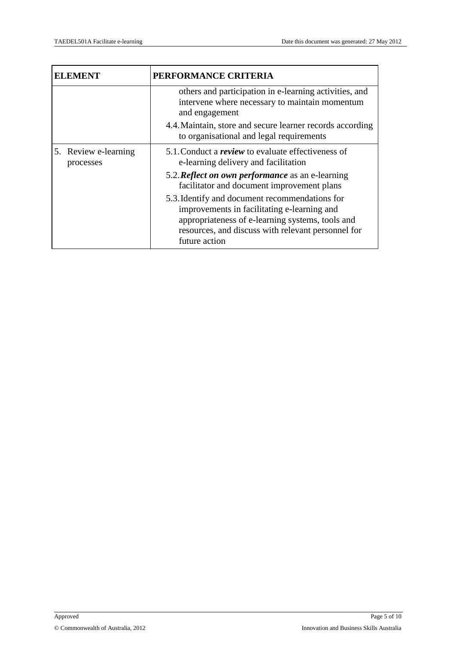| ELEMENT                           | PERFORMANCE CRITERIA                                                                                                                                                                                                     |
|-----------------------------------|--------------------------------------------------------------------------------------------------------------------------------------------------------------------------------------------------------------------------|
|                                   | others and participation in e-learning activities, and<br>intervene where necessary to maintain momentum<br>and engagement                                                                                               |
|                                   | 4.4. Maintain, store and secure learner records according<br>to organisational and legal requirements                                                                                                                    |
| 5. Review e-learning<br>processes | 5.1. Conduct a <i>review</i> to evaluate effectiveness of<br>e-learning delivery and facilitation                                                                                                                        |
|                                   | 5.2. <b>Reflect on own performance</b> as an e-learning<br>facilitator and document improvement plans                                                                                                                    |
|                                   | 5.3. Identify and document recommendations for<br>improvements in facilitating e-learning and<br>appropriateness of e-learning systems, tools and<br>resources, and discuss with relevant personnel for<br>future action |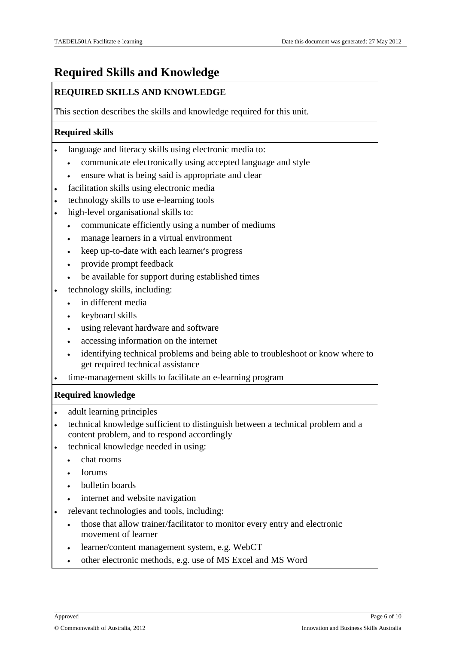### **Required Skills and Knowledge**

#### **REQUIRED SKILLS AND KNOWLEDGE**

This section describes the skills and knowledge required for this unit.

#### **Required skills**

- language and literacy skills using electronic media to:
	- communicate electronically using accepted language and style
	- ensure what is being said is appropriate and clear
- facilitation skills using electronic media
- technology skills to use e-learning tools
- high-level organisational skills to:
	- communicate efficiently using a number of mediums
	- manage learners in a virtual environment
	- keep up-to-date with each learner's progress
	- provide prompt feedback
	- be available for support during established times
- technology skills, including:
	- in different media
	- $\cdot$  keyboard skills
	- using relevant hardware and software
	- accessing information on the internet
	- identifying technical problems and being able to troubleshoot or know where to get required technical assistance
- time-management skills to facilitate an e-learning program

#### **Required knowledge**

- adult learning principles
- technical knowledge sufficient to distinguish between a technical problem and a content problem, and to respond accordingly
- technical knowledge needed in using:
	- chat rooms
	- forums
	- bulletin boards
	- internet and website navigation
- relevant technologies and tools, including:
	- those that allow trainer/facilitator to monitor every entry and electronic movement of learner
	- learner/content management system, e.g. WebCT
	- other electronic methods, e.g. use of MS Excel and MS Word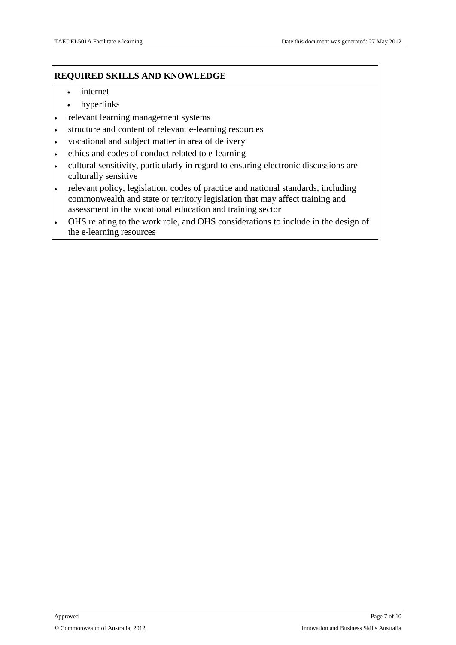#### **REQUIRED SKILLS AND KNOWLEDGE**

- internet
- hyperlinks
- relevant learning management systems
- structure and content of relevant e-learning resources
- vocational and subject matter in area of delivery
- ethics and codes of conduct related to e-learning
- cultural sensitivity, particularly in regard to ensuring electronic discussions are culturally sensitive
- relevant policy, legislation, codes of practice and national standards, including commonwealth and state or territory legislation that may affect training and assessment in the vocational education and training sector
- OHS relating to the work role, and OHS considerations to include in the design of the e-learning resources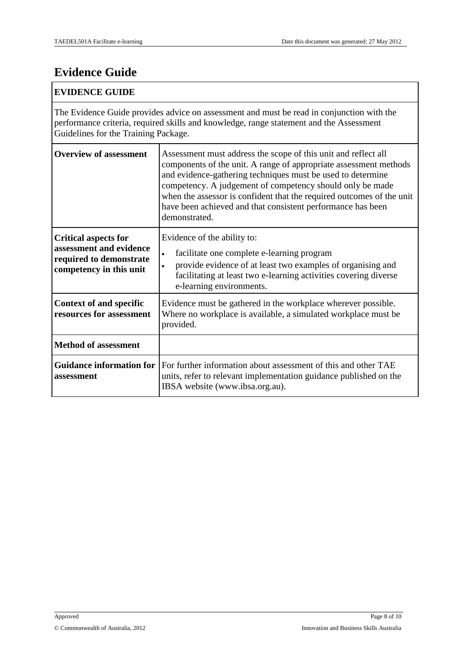### **Evidence Guide**

#### **EVIDENCE GUIDE**

The Evidence Guide provides advice on assessment and must be read in conjunction with the performance criteria, required skills and knowledge, range statement and the Assessment Guidelines for the Training Package.

| <b>Overview of assessment</b>                                                                                | Assessment must address the scope of this unit and reflect all<br>components of the unit. A range of appropriate assessment methods<br>and evidence-gathering techniques must be used to determine<br>competency. A judgement of competency should only be made<br>when the assessor is confident that the required outcomes of the unit<br>have been achieved and that consistent performance has been<br>demonstrated. |
|--------------------------------------------------------------------------------------------------------------|--------------------------------------------------------------------------------------------------------------------------------------------------------------------------------------------------------------------------------------------------------------------------------------------------------------------------------------------------------------------------------------------------------------------------|
| <b>Critical aspects for</b><br>assessment and evidence<br>required to demonstrate<br>competency in this unit | Evidence of the ability to:<br>facilitate one complete e-learning program<br>$\bullet$<br>provide evidence of at least two examples of organising and<br>$\bullet$<br>facilitating at least two e-learning activities covering diverse<br>e-learning environments.                                                                                                                                                       |
| <b>Context of and specific</b><br>resources for assessment                                                   | Evidence must be gathered in the workplace wherever possible.<br>Where no workplace is available, a simulated workplace must be<br>provided.                                                                                                                                                                                                                                                                             |
| <b>Method of assessment</b>                                                                                  |                                                                                                                                                                                                                                                                                                                                                                                                                          |
| Guidance information for<br>assessment                                                                       | For further information about assessment of this and other TAE<br>units, refer to relevant implementation guidance published on the<br>IBSA website (www.ibsa.org.au).                                                                                                                                                                                                                                                   |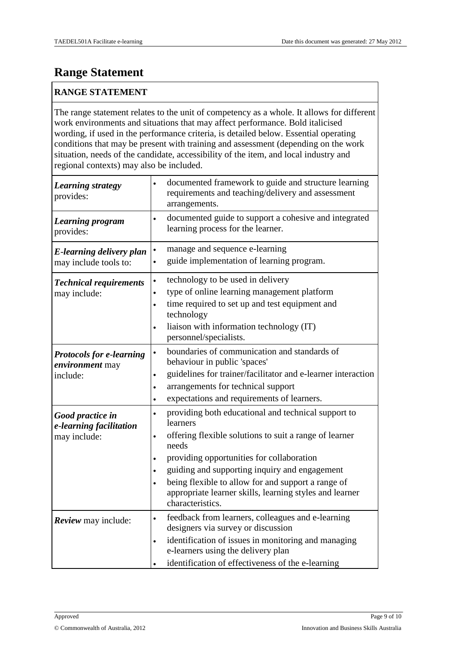### **Range Statement**

#### **RANGE STATEMENT**

The range statement relates to the unit of competency as a whole. It allows for different work environments and situations that may affect performance. Bold italicised wording, if used in the performance criteria, is detailed below. Essential operating conditions that may be present with training and assessment (depending on the work situation, needs of the candidate, accessibility of the item, and local industry and regional contexts) may also be included.

| <b>Learning strategy</b><br>provides:                          | documented framework to guide and structure learning<br>$\bullet$<br>requirements and teaching/delivery and assessment<br>arrangements.                                                                                                                                                                                                                                                                                                |
|----------------------------------------------------------------|----------------------------------------------------------------------------------------------------------------------------------------------------------------------------------------------------------------------------------------------------------------------------------------------------------------------------------------------------------------------------------------------------------------------------------------|
| <b>Learning program</b><br>provides:                           | documented guide to support a cohesive and integrated<br>$\bullet$<br>learning process for the learner.                                                                                                                                                                                                                                                                                                                                |
| E-learning delivery plan<br>may include tools to:              | manage and sequence e-learning<br>$\bullet$<br>guide implementation of learning program.<br>$\bullet$                                                                                                                                                                                                                                                                                                                                  |
| <b>Technical requirements</b><br>may include:                  | technology to be used in delivery<br>$\bullet$<br>type of online learning management platform<br>$\bullet$<br>time required to set up and test equipment and<br>$\bullet$<br>technology<br>liaison with information technology (IT)<br>$\bullet$<br>personnel/specialists.                                                                                                                                                             |
| <b>Protocols for e-learning</b><br>environment may<br>include: | boundaries of communication and standards of<br>$\bullet$<br>behaviour in public 'spaces'<br>guidelines for trainer/facilitator and e-learner interaction<br>$\bullet$<br>arrangements for technical support<br>$\bullet$<br>expectations and requirements of learners.<br>$\bullet$                                                                                                                                                   |
| Good practice in<br>e-learning facilitation<br>may include:    | providing both educational and technical support to<br>$\bullet$<br>learners<br>offering flexible solutions to suit a range of learner<br>$\bullet$<br>needs<br>providing opportunities for collaboration<br>$\bullet$<br>guiding and supporting inquiry and engagement<br>$\bullet$<br>being flexible to allow for and support a range of<br>$\bullet$<br>appropriate learner skills, learning styles and learner<br>characteristics. |
| <b>Review</b> may include:                                     | feedback from learners, colleagues and e-learning<br>$\bullet$<br>designers via survey or discussion<br>identification of issues in monitoring and managing<br>$\bullet$<br>e-learners using the delivery plan<br>identification of effectiveness of the e-learning                                                                                                                                                                    |